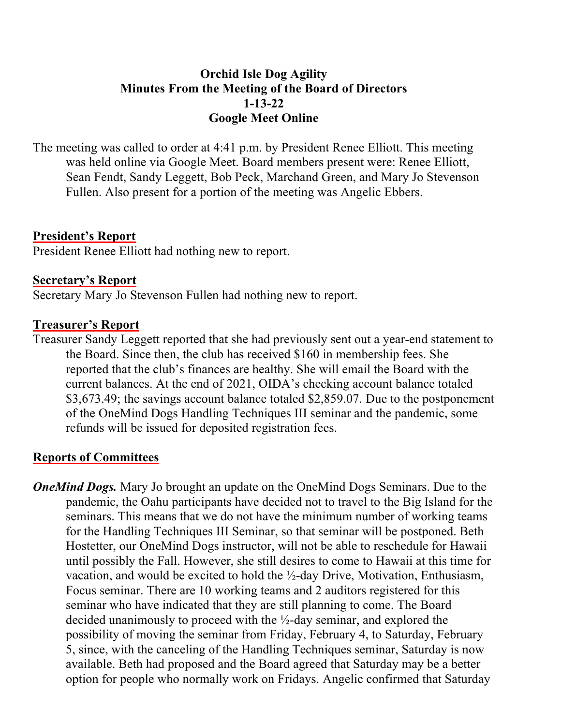# **Orchid Isle Dog Agility Minutes From the Meeting of the Board of Directors 1-13-22 Google Meet Online**

The meeting was called to order at 4:41 p.m. by President Renee Elliott. This meeting was held online via Google Meet. Board members present were: Renee Elliott, Sean Fendt, Sandy Leggett, Bob Peck, Marchand Green, and Mary Jo Stevenson Fullen. Also present for a portion of the meeting was Angelic Ebbers.

## **President's Report**

President Renee Elliott had nothing new to report.

### **Secretary's Report**

Secretary Mary Jo Stevenson Fullen had nothing new to report.

### **Treasurer's Report**

Treasurer Sandy Leggett reported that she had previously sent out a year-end statement to the Board. Since then, the club has received \$160 in membership fees. She reported that the club's finances are healthy. She will email the Board with the current balances. At the end of 2021, OIDA's checking account balance totaled \$3,673.49; the savings account balance totaled \$2,859.07. Due to the postponement of the OneMind Dogs Handling Techniques III seminar and the pandemic, some refunds will be issued for deposited registration fees.

## **Reports of Committees**

*OneMind Dogs.* Mary Jo brought an update on the OneMind Dogs Seminars. Due to the pandemic, the Oahu participants have decided not to travel to the Big Island for the seminars. This means that we do not have the minimum number of working teams for the Handling Techniques III Seminar, so that seminar will be postponed. Beth Hostetter, our OneMind Dogs instructor, will not be able to reschedule for Hawaii until possibly the Fall. However, she still desires to come to Hawaii at this time for vacation, and would be excited to hold the ½-day Drive, Motivation, Enthusiasm, Focus seminar. There are 10 working teams and 2 auditors registered for this seminar who have indicated that they are still planning to come. The Board decided unanimously to proceed with the ½-day seminar, and explored the possibility of moving the seminar from Friday, February 4, to Saturday, February 5, since, with the canceling of the Handling Techniques seminar, Saturday is now available. Beth had proposed and the Board agreed that Saturday may be a better option for people who normally work on Fridays. Angelic confirmed that Saturday